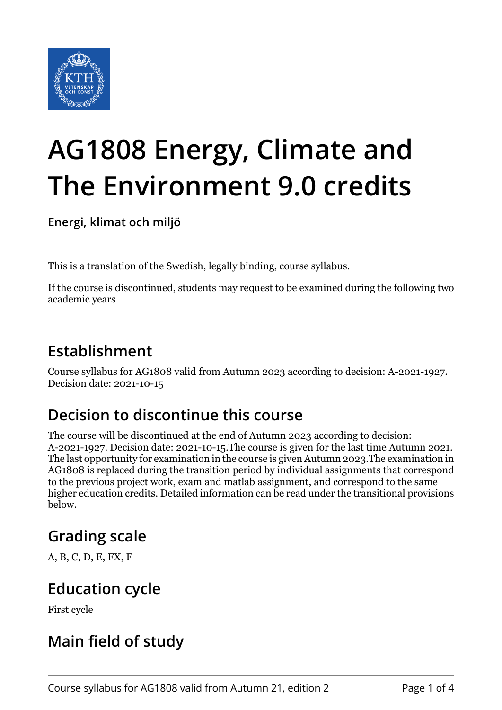

# **AG1808 Energy, Climate and The Environment 9.0 credits**

**Energi, klimat och miljö**

This is a translation of the Swedish, legally binding, course syllabus.

If the course is discontinued, students may request to be examined during the following two academic years

### **Establishment**

Course syllabus for AG1808 valid from Autumn 2023 according to decision: A-2021-1927. Decision date: 2021-10-15

# **Decision to discontinue this course**

The course will be discontinued at the end of Autumn 2023 according to decision: A-2021-1927. Decision date: 2021-10-15.The course is given for the last time Autumn 2021. The last opportunity for examination in the course is given Autumn 2023.The examination in AG1808 is replaced during the transition period by individual assignments that correspond to the previous project work, exam and matlab assignment, and correspond to the same higher education credits. Detailed information can be read under the transitional provisions below.

# **Grading scale**

A, B, C, D, E, FX, F

### **Education cycle**

First cycle

# **Main field of study**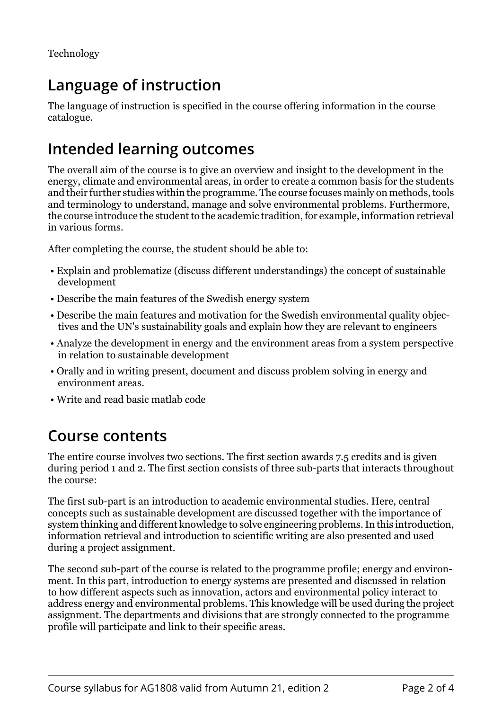# **Language of instruction**

The language of instruction is specified in the course offering information in the course catalogue.

#### **Intended learning outcomes**

The overall aim of the course is to give an overview and insight to the development in the energy, climate and environmental areas, in order to create a common basis for the students and their further studies within the programme. The course focuses mainly on methods, tools and terminology to understand, manage and solve environmental problems. Furthermore, the course introduce the student to the academic tradition, for example, information retrieval in various forms.

After completing the course, the student should be able to:

- Explain and problematize (discuss different understandings) the concept of sustainable development
- Describe the main features of the Swedish energy system
- Describe the main features and motivation for the Swedish environmental quality objectives and the UN's sustainability goals and explain how they are relevant to engineers
- Analyze the development in energy and the environment areas from a system perspective in relation to sustainable development
- Orally and in writing present, document and discuss problem solving in energy and environment areas.
- Write and read basic matlab code

#### **Course contents**

The entire course involves two sections. The first section awards 7.5 credits and is given during period 1 and 2. The first section consists of three sub-parts that interacts throughout the course:

The first sub-part is an introduction to academic environmental studies. Here, central concepts such as sustainable development are discussed together with the importance of system thinking and different knowledge to solve engineering problems. In this introduction, information retrieval and introduction to scientific writing are also presented and used during a project assignment.

The second sub-part of the course is related to the programme profile; energy and environment. In this part, introduction to energy systems are presented and discussed in relation to how different aspects such as innovation, actors and environmental policy interact to address energy and environmental problems. This knowledge will be used during the project assignment. The departments and divisions that are strongly connected to the programme profile will participate and link to their specific areas.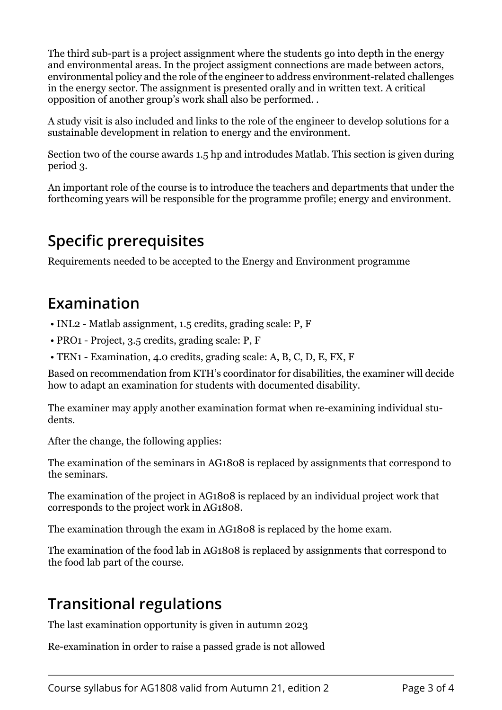The third sub-part is a project assignment where the students go into depth in the energy and environmental areas. In the project assigment connections are made between actors, environmental policy and the role of the engineer to address environment-related challenges in the energy sector. The assignment is presented orally and in written text. A critical opposition of another group's work shall also be performed. .

A study visit is also included and links to the role of the engineer to develop solutions for a sustainable development in relation to energy and the environment.

Section two of the course awards 1.5 hp and introdudes Matlab. This section is given during period 3.

An important role of the course is to introduce the teachers and departments that under the forthcoming years will be responsible for the programme profile; energy and environment.

#### **Specific prerequisites**

Requirements needed to be accepted to the Energy and Environment programme

#### **Examination**

- INL2 Matlab assignment, 1.5 credits, grading scale: P, F
- PRO1 Project, 3.5 credits, grading scale: P, F
- TEN1 Examination, 4.0 credits, grading scale: A, B, C, D, E, FX, F

Based on recommendation from KTH's coordinator for disabilities, the examiner will decide how to adapt an examination for students with documented disability.

The examiner may apply another examination format when re-examining individual students.

After the change, the following applies:

The examination of the seminars in AG1808 is replaced by assignments that correspond to the seminars.

The examination of the project in AG1808 is replaced by an individual project work that corresponds to the project work in AG1808.

The examination through the exam in AG1808 is replaced by the home exam.

The examination of the food lab in AG1808 is replaced by assignments that correspond to the food lab part of the course.

### **Transitional regulations**

The last examination opportunity is given in autumn 2023

Re-examination in order to raise a passed grade is not allowed